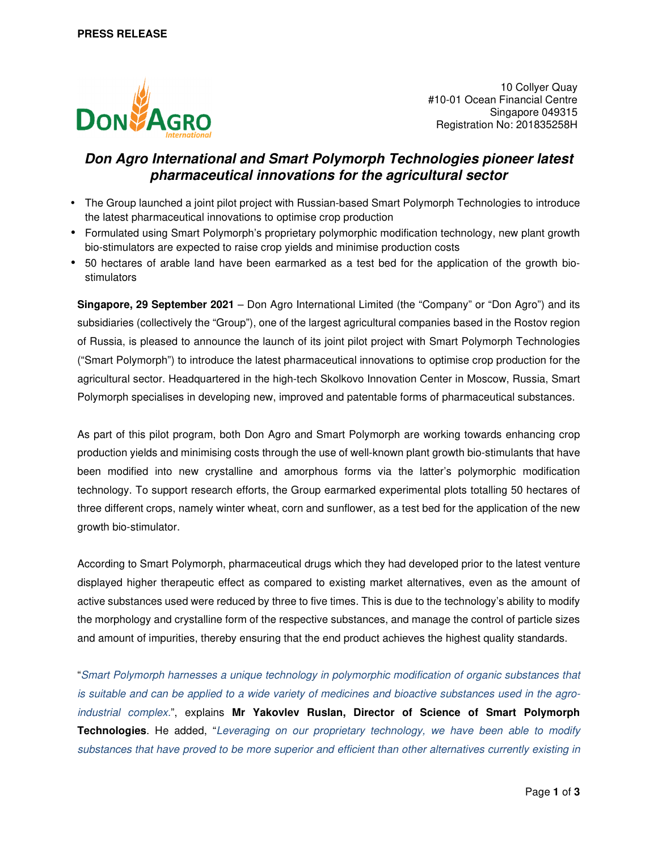

10 Collyer Quay #10-01 Ocean Financial Centre Singapore 049315 Registration No: 201835258H

# **Don Agro International and Smart Polymorph Technologies pioneer latest pharmaceutical innovations for the agricultural sector**

- The Group launched a joint pilot project with Russian-based Smart Polymorph Technologies to introduce the latest pharmaceutical innovations to optimise crop production
- Formulated using Smart Polymorph's proprietary polymorphic modification technology, new plant growth bio-stimulators are expected to raise crop yields and minimise production costs
- 50 hectares of arable land have been earmarked as a test bed for the application of the growth biostimulators

**Singapore, 29 September 2021** – Don Agro International Limited (the "Company" or "Don Agro") and its subsidiaries (collectively the "Group"), one of the largest agricultural companies based in the Rostov region of Russia, is pleased to announce the launch of its joint pilot project with Smart Polymorph Technologies ("Smart Polymorph") to introduce the latest pharmaceutical innovations to optimise crop production for the agricultural sector. Headquartered in the high-tech Skolkovo Innovation Center in Moscow, Russia, Smart Polymorph specialises in developing new, improved and patentable forms of pharmaceutical substances.

As part of this pilot program, both Don Agro and Smart Polymorph are working towards enhancing crop production yields and minimising costs through the use of well-known plant growth bio-stimulants that have been modified into new crystalline and amorphous forms via the latter's polymorphic modification technology. To support research efforts, the Group earmarked experimental plots totalling 50 hectares of three different crops, namely winter wheat, corn and sunflower, as a test bed for the application of the new growth bio-stimulator.

According to Smart Polymorph, pharmaceutical drugs which they had developed prior to the latest venture displayed higher therapeutic effect as compared to existing market alternatives, even as the amount of active substances used were reduced by three to five times. This is due to the technology's ability to modify the morphology and crystalline form of the respective substances, and manage the control of particle sizes and amount of impurities, thereby ensuring that the end product achieves the highest quality standards.

"Smart Polymorph harnesses a unique technology in polymorphic modification of organic substances that is suitable and can be applied to a wide variety of medicines and bioactive substances used in the agroindustrial complex.", explains **Mr Yakovlev Ruslan, Director of Science of Smart Polymorph Technologies**. He added, "Leveraging on our proprietary technology, we have been able to modify substances that have proved to be more superior and efficient than other alternatives currently existing in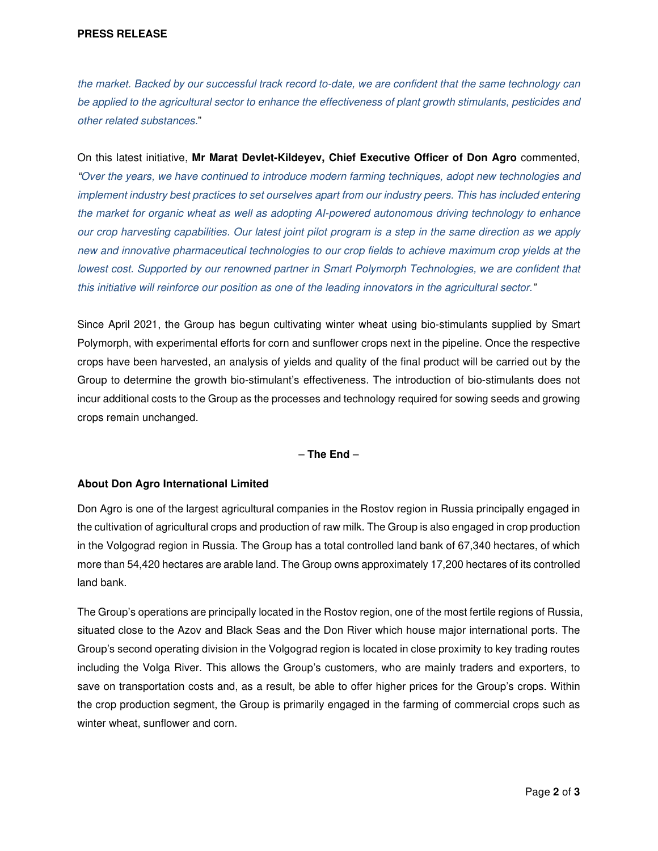the market. Backed by our successful track record to-date, we are confident that the same technology can be applied to the agricultural sector to enhance the effectiveness of plant growth stimulants, pesticides and other related substances."

On this latest initiative, **Mr Marat Devlet-Kildeyev, Chief Executive Officer of Don Agro** commented, "Over the years, we have continued to introduce modern farming techniques, adopt new technologies and implement industry best practices to set ourselves apart from our industry peers. This has included entering the market for organic wheat as well as adopting AI-powered autonomous driving technology to enhance our crop harvesting capabilities. Our latest joint pilot program is a step in the same direction as we apply new and innovative pharmaceutical technologies to our crop fields to achieve maximum crop yields at the lowest cost. Supported by our renowned partner in Smart Polymorph Technologies, we are confident that this initiative will reinforce our position as one of the leading innovators in the agricultural sector."

Since April 2021, the Group has begun cultivating winter wheat using bio-stimulants supplied by Smart Polymorph, with experimental efforts for corn and sunflower crops next in the pipeline. Once the respective crops have been harvested, an analysis of yields and quality of the final product will be carried out by the Group to determine the growth bio-stimulant's effectiveness. The introduction of bio-stimulants does not incur additional costs to the Group as the processes and technology required for sowing seeds and growing crops remain unchanged.

### – **The End** –

### **About Don Agro International Limited**

Don Agro is one of the largest agricultural companies in the Rostov region in Russia principally engaged in the cultivation of agricultural crops and production of raw milk. The Group is also engaged in crop production in the Volgograd region in Russia. The Group has a total controlled land bank of 67,340 hectares, of which more than 54,420 hectares are arable land. The Group owns approximately 17,200 hectares of its controlled land bank.

The Group's operations are principally located in the Rostov region, one of the most fertile regions of Russia, situated close to the Azov and Black Seas and the Don River which house major international ports. The Group's second operating division in the Volgograd region is located in close proximity to key trading routes including the Volga River. This allows the Group's customers, who are mainly traders and exporters, to save on transportation costs and, as a result, be able to offer higher prices for the Group's crops. Within the crop production segment, the Group is primarily engaged in the farming of commercial crops such as winter wheat, sunflower and corn.